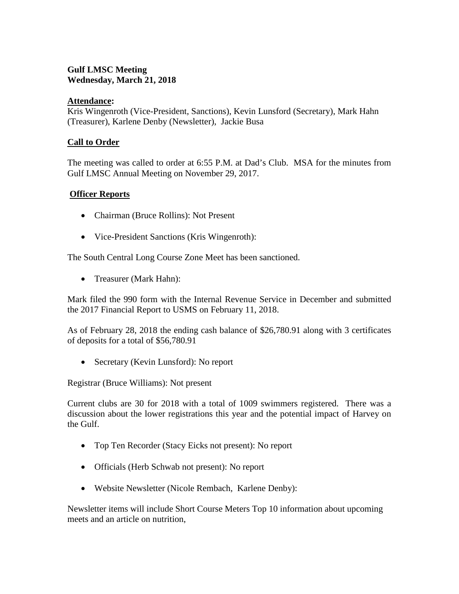# **Gulf LMSC Meeting Wednesday, March 21, 2018**

## **Attendance:**

Kris Wingenroth (Vice-President, Sanctions), Kevin Lunsford (Secretary), Mark Hahn (Treasurer), Karlene Denby (Newsletter), Jackie Busa

### **Call to Order**

The meeting was called to order at 6:55 P.M. at Dad's Club. MSA for the minutes from Gulf LMSC Annual Meeting on November 29, 2017.

### **Officer Reports**

- Chairman (Bruce Rollins): Not Present
- Vice-President Sanctions (Kris Wingenroth):

The South Central Long Course Zone Meet has been sanctioned.

• Treasurer (Mark Hahn):

Mark filed the 990 form with the Internal Revenue Service in December and submitted the 2017 Financial Report to USMS on February 11, 2018.

As of February 28, 2018 the ending cash balance of \$26,780.91 along with 3 certificates of deposits for a total of \$56,780.91

• Secretary (Kevin Lunsford): No report

Registrar (Bruce Williams): Not present

Current clubs are 30 for 2018 with a total of 1009 swimmers registered. There was a discussion about the lower registrations this year and the potential impact of Harvey on the Gulf.

- Top Ten Recorder (Stacy Eicks not present): No report
- Officials (Herb Schwab not present): No report
- Website Newsletter (Nicole Rembach, Karlene Denby):

Newsletter items will include Short Course Meters Top 10 information about upcoming meets and an article on nutrition,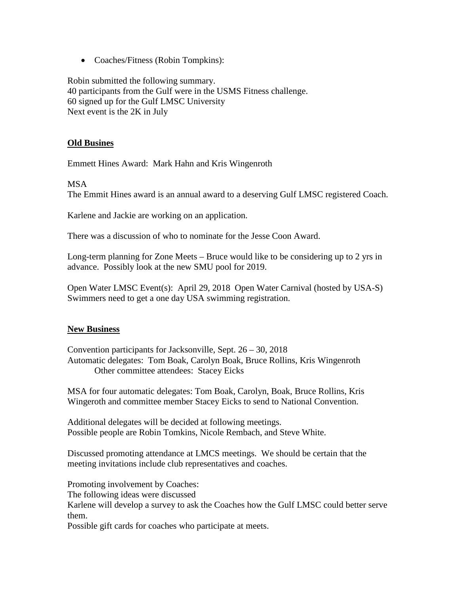• Coaches/Fitness (Robin Tompkins):

Robin submitted the following summary. 40 participants from the Gulf were in the USMS Fitness challenge. 60 signed up for the Gulf LMSC University Next event is the 2K in July

### **Old Busines**

Emmett Hines Award: Mark Hahn and Kris Wingenroth

#### MSA

The Emmit Hines award is an annual award to a deserving Gulf LMSC registered Coach.

Karlene and Jackie are working on an application.

There was a discussion of who to nominate for the Jesse Coon Award.

Long-term planning for Zone Meets – Bruce would like to be considering up to 2 yrs in advance. Possibly look at the new SMU pool for 2019.

Open Water LMSC Event(s): April 29, 2018 Open Water Carnival (hosted by USA-S) Swimmers need to get a one day USA swimming registration.

### **New Business**

Convention participants for Jacksonville, Sept. 26 – 30, 2018 Automatic delegates: Tom Boak, Carolyn Boak, Bruce Rollins, Kris Wingenroth Other committee attendees: Stacey Eicks

MSA for four automatic delegates: Tom Boak, Carolyn, Boak, Bruce Rollins, Kris Wingeroth and committee member Stacey Eicks to send to National Convention.

Additional delegates will be decided at following meetings. Possible people are Robin Tomkins, Nicole Rembach, and Steve White.

Discussed promoting attendance at LMCS meetings. We should be certain that the meeting invitations include club representatives and coaches.

Promoting involvement by Coaches: The following ideas were discussed Karlene will develop a survey to ask the Coaches how the Gulf LMSC could better serve them.

Possible gift cards for coaches who participate at meets.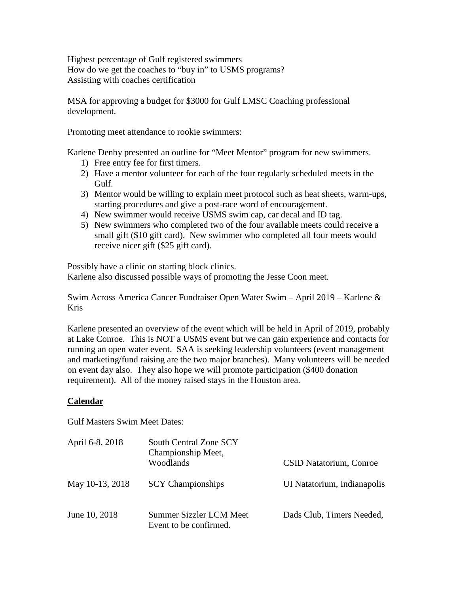Highest percentage of Gulf registered swimmers How do we get the coaches to "buy in" to USMS programs? Assisting with coaches certification

MSA for approving a budget for \$3000 for Gulf LMSC Coaching professional development.

Promoting meet attendance to rookie swimmers:

Karlene Denby presented an outline for "Meet Mentor" program for new swimmers.

- 1) Free entry fee for first timers.
- 2) Have a mentor volunteer for each of the four regularly scheduled meets in the Gulf.
- 3) Mentor would be willing to explain meet protocol such as heat sheets, warm-ups, starting procedures and give a post-race word of encouragement.
- 4) New swimmer would receive USMS swim cap, car decal and ID tag.
- 5) New swimmers who completed two of the four available meets could receive a small gift (\$10 gift card). New swimmer who completed all four meets would receive nicer gift (\$25 gift card).

Possibly have a clinic on starting block clinics. Karlene also discussed possible ways of promoting the Jesse Coon meet.

Swim Across America Cancer Fundraiser Open Water Swim – April 2019 – Karlene & Kris

Karlene presented an overview of the event which will be held in April of 2019, probably at Lake Conroe. This is NOT a USMS event but we can gain experience and contacts for running an open water event. SAA is seeking leadership volunteers (event management and marketing/fund raising are the two major branches). Many volunteers will be needed on event day also. They also hope we will promote participation (\$400 donation requirement). All of the money raised stays in the Houston area.

# **Calendar**

Gulf Masters Swim Meet Dates:

| April 6-8, 2018 | South Central Zone SCY<br>Championship Meet,      |                             |  |
|-----------------|---------------------------------------------------|-----------------------------|--|
|                 | Woodlands                                         | CSID Natatorium, Conroe     |  |
| May 10-13, 2018 | <b>SCY</b> Championships                          | UI Natatorium, Indianapolis |  |
| June 10, 2018   | Summer Sizzler LCM Meet<br>Event to be confirmed. | Dads Club, Timers Needed,   |  |